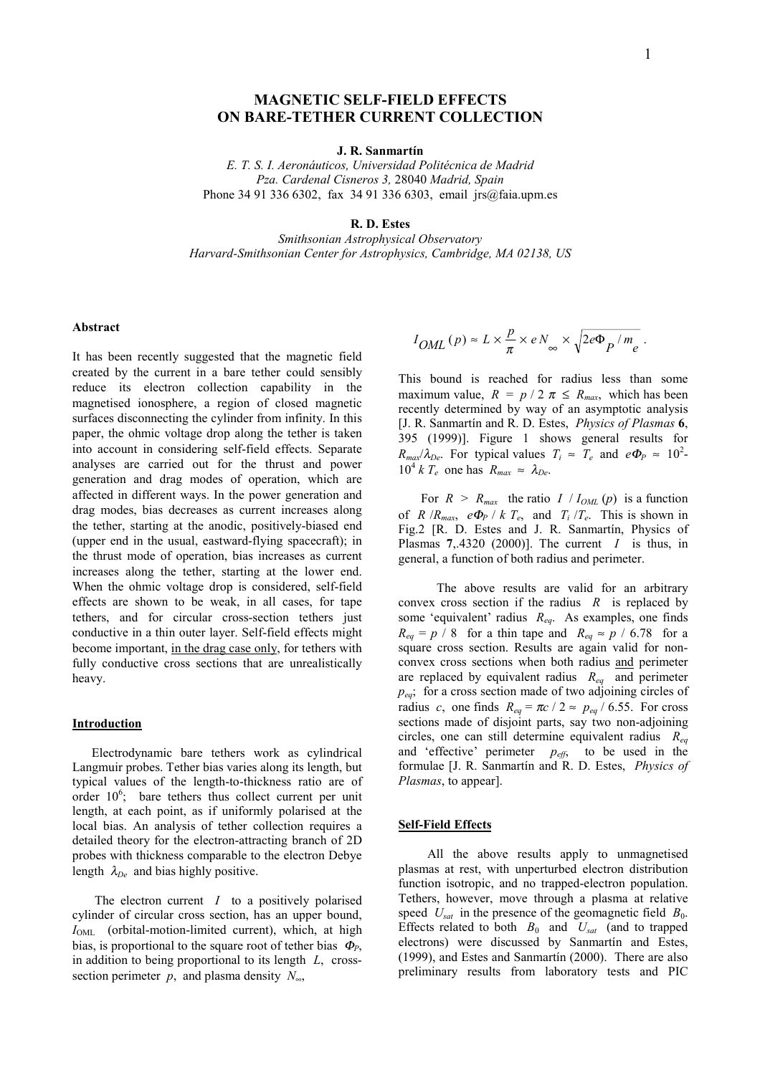#### **J. R. Sanmartín**

*E. T. S. I. Aeronáuticos, Universidad Politécnica de Madrid Pza. Cardenal Cisneros 3,* 28040 *Madrid, Spain* Phone 34 91 336 6302, fax 34 91 336 6303, email jrs@faia.upm.es

#### **R. D. Estes**

*Smithsonian Astrophysical Observatory Harvard-Smithsonian Center for Astrophysics, Cambridge, MA 02138, US*

# **Abstract**

It has been recently suggested that the magnetic field created by the current in a bare tether could sensibly reduce its electron collection capability in the magnetised ionosphere, a region of closed magnetic surfaces disconnecting the cylinder from infinity. In this paper, the ohmic voltage drop along the tether is taken into account in considering self-field effects. Separate analyses are carried out for the thrust and power generation and drag modes of operation, which are affected in different ways. In the power generation and drag modes, bias decreases as current increases along the tether, starting at the anodic, positively-biased end (upper end in the usual, eastward-flying spacecraft); in the thrust mode of operation, bias increases as current increases along the tether, starting at the lower end. When the ohmic voltage drop is considered, self-field effects are shown to be weak, in all cases, for tape tethers, and for circular cross-section tethers just conductive in a thin outer layer. Self-field effects might become important, in the drag case only, for tethers with fully conductive cross sections that are unrealistically heavy.

### **Introduction**

 Electrodynamic bare tethers work as cylindrical Langmuir probes. Tether bias varies along its length, but typical values of the length-to-thickness ratio are of order 10<sup>6</sup>; bare tethers thus collect current per unit length, at each point, as if uniformly polarised at the local bias. An analysis of tether collection requires a detailed theory for the electron-attracting branch of 2D probes with thickness comparable to the electron Debye length  $\lambda_{De}$  and bias highly positive.

 The electron current *I* to a positively polarised cylinder of circular cross section, has an upper bound, *I*<sub>OML</sub> (orbital-motion-limited current), which, at high bias, is proportional to the square root of tether bias <sup>Φ</sup>*P*, in addition to being proportional to its length *L*, crosssection perimeter *p*, and plasma density  $N_{\infty}$ ,

$$
I_{OML}(p) \approx L \times \frac{p}{\pi} \times e N_{\infty} \times \sqrt{2e\Phi_P/m_e}.
$$

This bound is reached for radius less than some maximum value,  $R = p / 2 \pi \le R_{max}$ , which has been recently determined by way of an asymptotic analysis [J. R. Sanmartín and R. D. Estes, *Physics of Plasmas* **6**, 395 (1999)]. Figure 1 shows general results for  $R_{max}/\lambda_{De}$ . For typical values  $T_i \approx T_e$  and  $e\Phi_P \approx 10^2$ - $10^4$  *k T<sub>e</sub>* one has  $R_{max} \approx \lambda_{De}$ .

For  $R > R_{max}$  the ratio  $I / I_{OML}(p)$  is a function of *R* /*R<sub>max</sub>*, *e* $\Phi$ *P* / *k T<sub>e</sub>*, and *T<sub>i</sub>* /*T<sub>e</sub>*. This is shown in Fig.2 [R. D. Estes and J. R. Sanmartín, Physics of Plasmas  $7,4320$  (2000)]. The current *I* is thus, in general, a function of both radius and perimeter.

 The above results are valid for an arbitrary convex cross section if the radius *R* is replaced by some 'equivalent' radius *Req*. As examples, one finds  $R_{eq} = p / 8$  for a thin tape and  $R_{eq} \approx p / 6.78$  for a square cross section. Results are again valid for nonconvex cross sections when both radius and perimeter are replaced by equivalent radius *Req* and perimeter *peq*; for a cross section made of two adjoining circles of radius *c*, one finds  $R_{eq} = \pi c / 2 \approx p_{eq} / 6.55$ . For cross sections made of disjoint parts, say two non-adjoining circles, one can still determine equivalent radius *Req* and 'effective' perimeter  $p_{\text{eff}}$ , to be used in the formulae [J. R. Sanmartín and R. D. Estes, *Physics of Plasmas*, to appear].

#### **Self-Field Effects**

 All the above results apply to unmagnetised plasmas at rest, with unperturbed electron distribution function isotropic, and no trapped-electron population. Tethers, however, move through a plasma at relative speed  $U_{\text{sat}}$  in the presence of the geomagnetic field  $B_0$ . Effects related to both  $B_0$  and  $U_{\text{sat}}$  (and to trapped electrons) were discussed by Sanmartín and Estes, (1999), and Estes and Sanmartín (2000). There are also preliminary results from laboratory tests and PIC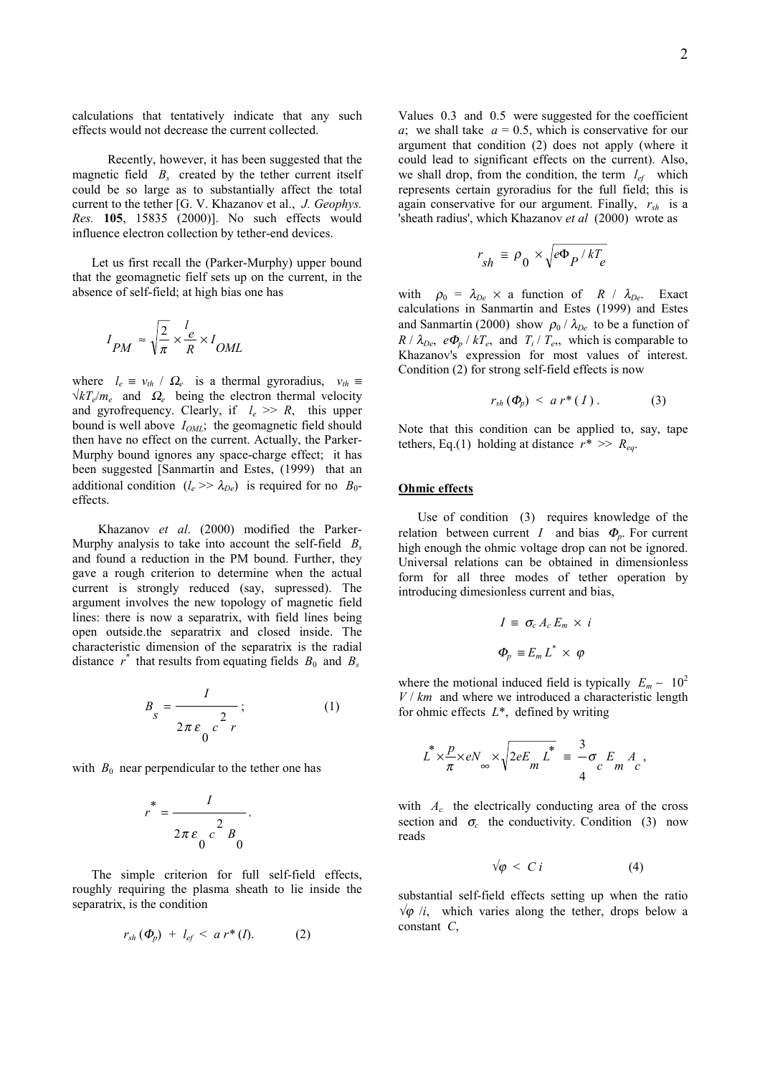calculations that tentatively indicate that any such effects would not decrease the current collected.

 Recently, however, it has been suggested that the magnetic field  $B_s$  created by the tether current itself could be so large as to substantially affect the total current to the tether [G. V. Khazanov et al., *J. Geophys. Res.* **105**, 15835 (2000)]. No such effects would influence electron collection by tether-end devices.

 Let us first recall the (Parker-Murphy) upper bound that the geomagnetic fielf sets up on the current, in the absence of self-field; at high bias one has

$$
I_{PM} \approx \sqrt{\frac{2}{\pi}} \times \frac{l_e}{R} \times I_{OML}
$$

where  $l_e \equiv v_{th} / \Omega_e$  is a thermal gyroradius,  $v_{th} \equiv$  $\sqrt{kT_e/m_e}$  and  $\Omega_e$  being the electron thermal velocity and gyrofrequency. Clearly, if  $l_e \gg R$ , this upper bound is well above  $I_{OML}$ ; the geomagnetic field should then have no effect on the current. Actually, the Parker-Murphy bound ignores any space-charge effect; it has been suggested [Sanmartín and Estes, (1999) that an additional condition  $(l_e \gg \lambda_{De})$  is required for no  $B_0$ effects.

 Khazanov *et al*. (2000) modified the Parker-Murphy analysis to take into account the self-field *Bs* and found a reduction in the PM bound. Further, they gave a rough criterion to determine when the actual current is strongly reduced (say, supressed). The argument involves the new topology of magnetic field lines: there is now a separatrix, with field lines being open outside.the separatrix and closed inside. The characteristic dimension of the separatrix is the radial distance  $r^*$  that results from equating fields  $B_0$  and  $B_s$ 

$$
B_{s} = \frac{I}{2\pi \varepsilon_{0} c^{2} r};
$$
 (1)

with  $B_0$  near perpendicular to the tether one has

$$
r^* = \frac{I}{2\pi\varepsilon_0 c^2 B_0}.
$$

 The simple criterion for full self-field effects, roughly requiring the plasma sheath to lie inside the separatrix, is the condition

$$
r_{sh}(\Phi_p) + l_{ef} < a\ r^*(I). \tag{2}
$$

Values 0.3 and 0.5 were suggested for the coefficient *a*; we shall take  $a = 0.5$ , which is conservative for our argument that condition (2) does not apply (where it could lead to significant effects on the current). Also, we shall drop, from the condition, the term  $l_{ef}$  which represents certain gyroradius for the full field; this is again conservative for our argument. Finally, *rsh* is a 'sheath radius', which Khazanov *et al* (2000) wrote as

$$
r_{sh} \cong \rho_0 \times \sqrt{e \Phi_P / kT_e}
$$

with  $\rho_0 = \lambda_{De} \times$  a function of *R* /  $\lambda_{De}$ . Exact calculations in Sanmartín and Estes (1999) and Estes and Sanmartín (2000) show  $\rho_0 / \lambda_{De}$  to be a function of  $R / \lambda_{De}$ ,  $e\Phi_p / kT_e$ , and  $T_i / T_e$ , which is comparable to Khazanov's expression for most values of interest. Condition (2) for strong self-field effects is now

$$
r_{sh}(\Phi_p) < a\,r^*(I). \tag{3}
$$

Note that this condition can be applied to, say, tape tethers, Eq.(1) holding at distance  $r^* \gg R_{ea}$ .

## **Ohmic effects**

Use of condition (3) requires knowledge of the relation between current *I* and bias  $\Phi_n$ . For current high enough the ohmic voltage drop can not be ignored. Universal relations can be obtained in dimensionless form for all three modes of tether operation by introducing dimesionless current and bias,

$$
I = \sigma_c A_c E_m \times i
$$
  

$$
\Phi_p = E_m L^* \times \varphi
$$

where the motional induced field is typically  $E_m \sim 10^2$ *V* / *km* and where we introduced a characteristic length for ohmic effects *L*\*, defined by writing

$$
L^* \times \frac{p}{\pi} \times eN_\infty \times \sqrt{2eE_m L^*} = \frac{3}{4}\sigma_c E_m A_c,
$$

with *A<sub>c</sub>* the electrically conducting area of the cross section and  $\sigma_c$  the conductivity. Condition (3) now reads

$$
\sqrt{\varphi} < C \, i \tag{4}
$$

substantial self-field effects setting up when the ratio  $\sqrt{\varphi}$  /*i*, which varies along the tether, drops below a constant *C*,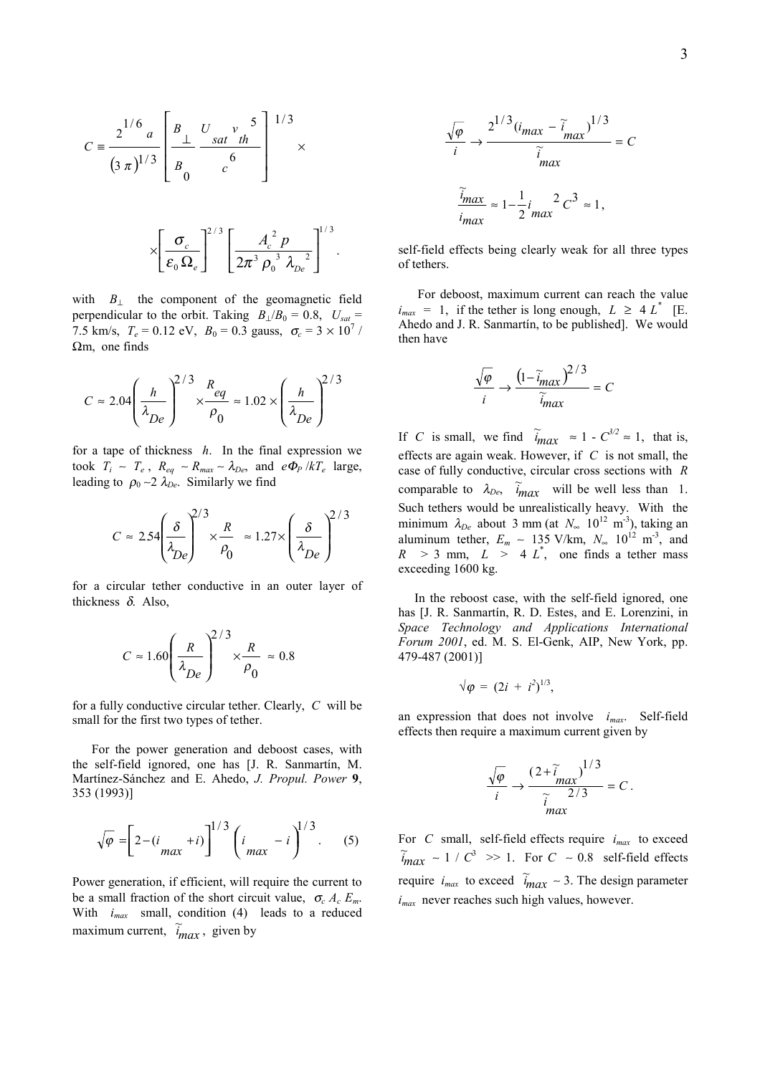$$
C = \frac{2^{1/6} a}{(3 \pi)^{1/3}} \left[ \frac{B_{\perp}}{B_{0}} \frac{U_{sat} v_{th}^{5}}{c^{6}} \right]^{1/3} \times
$$

$$
\times \left[\frac{\sigma_c}{\varepsilon_0 \,\Omega_e}\right]^{2/3} \left[\frac{A_c^2 \,p}{2\pi^3 \,\rho_0^{\;3} \,\lambda_{De}^{\;2}}\right]^{1/3}.
$$

with  $B_{\perp}$  the component of the geomagnetic field perpendicular to the orbit. Taking  $B_{\perp}/B_0 = 0.8$ ,  $U_{sat} =$ 7.5 km/s,  $T_e = 0.12$  eV,  $B_0 = 0.3$  gauss,  $\sigma_c = 3 \times 10^7$  / Ωm, one finds

$$
C \approx 2.04 \left(\frac{h}{\lambda_{De}}\right)^{2/3} \times \frac{R_{eq}}{\rho_0} \approx 1.02 \times \left(\frac{h}{\lambda_{De}}\right)^{2/3}
$$

for a tape of thickness *h*. In the final expression we took  $T_i \sim T_e$ ,  $R_{eq} \sim R_{max} \sim \lambda_{De}$ , and  $e\Phi_P/kT_e$  large, leading to  $\rho_0 \sim 2 \lambda_{De}$ . Similarly we find

$$
C \approx 2.54 \left(\frac{\delta}{\lambda_{De}}\right)^{2/3} \times \frac{R}{\rho_0} \approx 1.27 \times \left(\frac{\delta}{\lambda_{De}}\right)^{2/3}
$$

for a circular tether conductive in an outer layer of thickness  $\delta$ . Also,

$$
C \approx 1.60 \left(\frac{R}{\lambda_{De}}\right)^{2/3} \times \frac{R}{\rho_0} \approx 0.8
$$

for a fully conductive circular tether. Clearly, *C* will be small for the first two types of tether.

 For the power generation and deboost cases, with the self-field ignored, one has [J. R. Sanmartín, M. Martínez-Sánchez and E. Ahedo, *J. Propul. Power* **9**, 353 (1993)]

$$
\sqrt{\varphi} = \left[2 - (i_{max} + i)\right]^{1/3} \left(i_{max} - i\right)^{1/3}.
$$
 (5)

Power generation, if efficient, will require the current to be a small fraction of the short circuit value,  $\sigma_c A_c E_m$ . With *imax* small, condition (4) leads to a reduced maximum current,  $\tilde{i}_{max}$ , given by

$$
\frac{\sqrt{\varphi}}{i} \to \frac{2^{1/3} (i_{max} - \tilde{i}_{max})^{1/3}}{\tilde{i}_{max}} = C
$$

$$
\frac{\tilde{i}_{max}}{i_{max}} \approx 1 - \frac{1}{2} i_{max}^2 C^3 \approx 1,
$$

self-field effects being clearly weak for all three types of tethers.

 For deboost, maximum current can reach the value  $i_{max}$  = 1, if the tether is long enough,  $L \geq 4 L^*$  [E. Ahedo and J. R. Sanmartín, to be published]. We would then have

$$
\frac{\sqrt{\varphi}}{i} \to \frac{\left(1 - \widetilde{i}_{max}\right)^{2/3}}{\widetilde{i}_{max}} = C
$$

If *C* is small, we find  $\tilde{i}_{max} \approx 1 - C^{3/2} \approx 1$ , that is, effects are again weak. However, if *C* is not small, the case of fully conductive, circular cross sections with *R* comparable to  $\lambda_{De}$ ,  $\tilde{i}_{max}$  will be well less than 1. Such tethers would be unrealistically heavy. With the minimum  $\lambda_{De}$  about 3 mm (at  $N_{\infty}$  10<sup>12</sup> m<sup>-3</sup>), taking an aluminum tether,  $E_m \sim 135 \text{ V/km}$ ,  $N_\infty 10^{12} \text{ m}^3$ , and  $R > 3$  mm,  $L > 4 L^*$ , one finds a tether mass exceeding 1600 kg.

 In the reboost case, with the self-field ignored, one has [J. R. Sanmartín, R. D. Estes, and E. Lorenzini, in *Space Technology and Applications International Forum 2001*, ed. M. S. El-Genk, AIP, New York, pp. 479-487 (2001)]

$$
\sqrt{\varphi} = (2i + i^2)^{1/3},
$$

an expression that does not involve *imax*. Self-field effects then require a maximum current given by

$$
\frac{\sqrt{\varphi}}{i} \to \frac{\left(2+\tilde{i} - \max\right)^{1/3}}{\tilde{i} - \frac{2}{3}} = C.
$$

For *C* small, self-field effects require *imax* to exceed  $\widetilde{u}_{max} \sim 1 / C^3 \gg 1$ . For *C* ~ 0.8 self-field effects require  $i_{max}$  to exceed  $\tilde{i}_{max} \sim 3$ . The design parameter *imax* never reaches such high values, however.